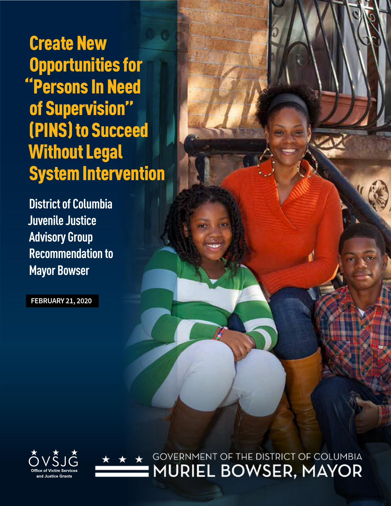Create New Opportunities for "Persons In Need of Supervision" (PINS) to Succeed Without Legal System Intervention

**District of Columbia Juvenile Justice Advisory Group Recommendation to Mayor Bowser**

**FEBRUARY 21, 2020**



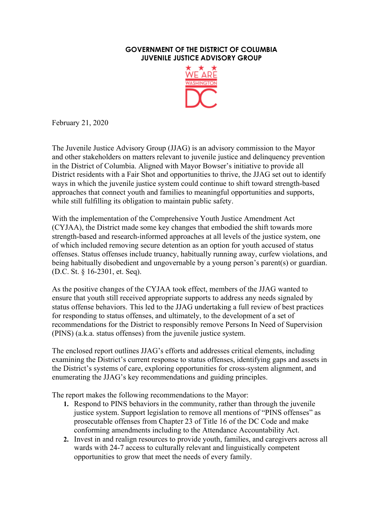

February 21, 2020

The Juvenile Justice Advisory Group (JJAG) is an advisory commission to the Mayor and other stakeholders on matters relevant to juvenile justice and delinquency prevention in the District of Columbia. Aligned with Mayor Bowser's initiative to provide all District residents with a Fair Shot and opportunities to thrive, the JJAG set out to identify ways in which the juvenile justice system could continue to shift toward strength-based approaches that connect youth and families to meaningful opportunities and supports, while still fulfilling its obligation to maintain public safety.

With the implementation of the Comprehensive Youth Justice Amendment Act (CYJAA), the District made some key changes that embodied the shift towards more strength-based and research-informed approaches at all levels of the justice system, one of which included removing secure detention as an option for youth accused of status offenses. Status offenses include truancy, habitually running away, curfew violations, and being habitually disobedient and ungovernable by a young person's parent(s) or guardian. (D.C. St. § 16-2301, et. Seq).

As the positive changes of the CYJAA took effect, members of the JJAG wanted to ensure that youth still received appropriate supports to address any needs signaled by status offense behaviors. This led to the JJAG undertaking a full review of best practices for responding to status offenses, and ultimately, to the development of a set of recommendations for the District to responsibly remove Persons In Need of Supervision (PINS) (a.k.a. status offenses) from the juvenile justice system.

The enclosed report outlines JJAG's efforts and addresses critical elements, including examining the District's current response to status offenses, identifying gaps and assets in the District's systems of care, exploring opportunities for cross-system alignment, and enumerating the JJAG's key recommendations and guiding principles.

The report makes the following recommendations to the Mayor:

- **1.** Respond to PINS behaviors in the community, rather than through the juvenile justice system. Support legislation to remove all mentions of "PINS offenses" as prosecutable offenses from Chapter 23 of Title 16 of the DC Code and make conforming amendments including to the Attendance Accountability Act.
- **2.** Invest in and realign resources to provide youth, families, and caregivers across all wards with 24-7 access to culturally relevant and linguistically competent opportunities to grow that meet the needs of every family.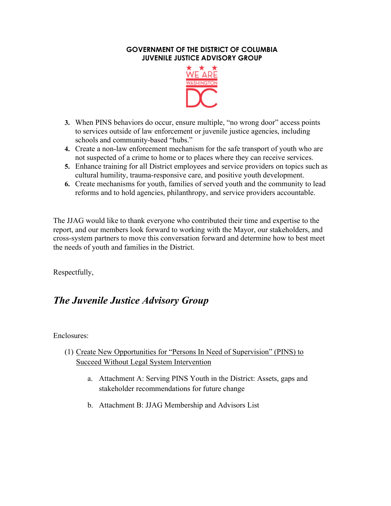

- **3.** When PINS behaviors do occur, ensure multiple, "no wrong door" access points to services outside of law enforcement or juvenile justice agencies, including schools and community-based "hubs."
- **4.** Create a non-law enforcement mechanism for the safe transport of youth who are not suspected of a crime to home or to places where they can receive services.
- **5.** Enhance training for all District employees and service providers on topics such as cultural humility, trauma-responsive care, and positive youth development.
- **6.** Create mechanisms for youth, families of served youth and the community to lead reforms and to hold agencies, philanthropy, and service providers accountable.

The JJAG would like to thank everyone who contributed their time and expertise to the report, and our members look forward to working with the Mayor, our stakeholders, and cross-system partners to move this conversation forward and determine how to best meet the needs of youth and families in the District.

Respectfully,

# *The Juvenile Justice Advisory Group*

Enclosures:

- (1) Create New Opportunities for "Persons In Need of Supervision" (PINS) to Succeed Without Legal System Intervention
	- a. Attachment A: Serving PINS Youth in the District: Assets, gaps and stakeholder recommendations for future change
	- b. Attachment B: JJAG Membership and Advisors List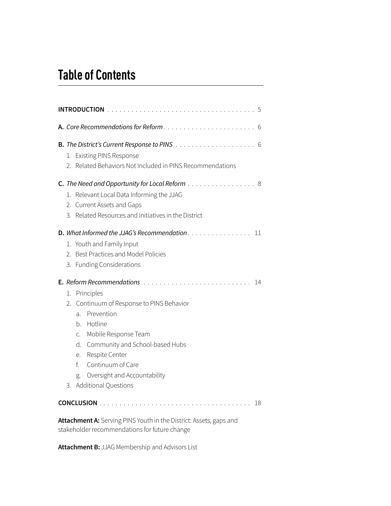# **Table of Contents**

|    | <b>INTRODUCTION</b><br>5                                                                                                                                                                                                                                                                            |
|----|-----------------------------------------------------------------------------------------------------------------------------------------------------------------------------------------------------------------------------------------------------------------------------------------------------|
|    | A. Core Recommendations for Reform<br>6                                                                                                                                                                                                                                                             |
|    | 1. Existing PINS Response<br>2. Related Behaviors Not Included in PINS Recommendations                                                                                                                                                                                                              |
|    | <b>C.</b> The Need and Opportunity for Local Reform $\ldots \ldots \ldots \ldots \ldots$<br>1. Relevant Local Data Informing the JJAG<br>2. Current Assets and Gaps<br>3. Related Resources and Initiatives in the District                                                                         |
|    | <b>D.</b> What Informed the JJAG's Recommendation $\ldots$ , $\ldots$ , $\ldots$<br>11<br>1. Youth and Family Input<br>2. Best Practices and Model Policies<br>3. Funding Considerations                                                                                                            |
| 1. | 14<br>Principles<br>Continuum of Response to PINS Behavior<br>2.<br>Prevention<br>a.<br>Hotline<br>b.<br>Mobile Response Team<br>C.<br>Community and School-based Hubs<br>d.<br>Respite Center<br>e.<br>f.<br>Continuum of Care<br>Oversight and Accountability<br>g.<br>Additional Questions<br>3. |
|    | 18                                                                                                                                                                                                                                                                                                  |

**Attachment A:** Serving PINS Youth in the District: Assets, gaps and stakeholder recommendations for future change

**Attachment B:** JJAG Membership and Advisors List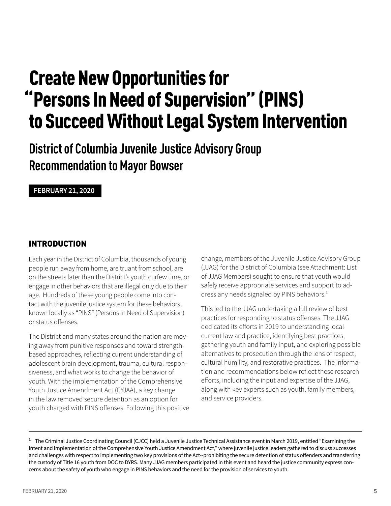# Create New Opportunities for "Persons In Need of Supervision" (PINS) to Succeed Without Legal System Intervention

**District of Columbia Juvenile Justice Advisory Group Recommendation to Mayor Bowser**

#### **FEBRUARY 21, 2020**

## INTRODUCTION

Each year in the District of Columbia, thousands of young people run away from home, are truant from school, are on the streets later than the District's youth curfew time, or engage in other behaviors that are illegal only due to their age. Hundreds of these young people come into contact with the juvenile justice system for these behaviors, known locally as "PINS" (Persons In Need of Supervision) or status offenses.

The District and many states around the nation are moving away from punitive responses and toward strengthbased approaches, reflecting current understanding of adolescent brain development, trauma, cultural responsiveness, and what works to change the behavior of youth. With the implementation of the Comprehensive Youth Justice Amendment Act (CYJAA), a key change in the law removed secure detention as an option for youth charged with PINS offenses. Following this positive change, members of the Juvenile Justice Advisory Group (JJAG) for the District of Columbia (see Attachment: List of JJAG Members) sought to ensure that youth would safely receive appropriate services and support to address any needs signaled by PINS behaviors. **1**

This led to the JJAG undertaking a full review of best practices for responding to status offenses. The JJAG dedicated its efforts in 2019 to understanding local current law and practice, identifying best practices, gathering youth and family input, and exploring possible alternatives to prosecution through the lens of respect, cultural humility, and restorative practices. The information and recommendations below reflect these research efforts, including the input and expertise of the JJAG, along with key experts such as youth, family members, and service providers.

**<sup>1</sup>** The Criminal Justice Coordinating Council (CJCC) held a Juvenile Justice Technical Assistance event in March 2019, entitled "Examining the Intent and Implementation of the Comprehensive Youth Justice Amendment Act," where juvenile justice leaders gathered to discuss successes and challenges with respect to implementing two key provisions of the Act--prohibiting the secure detention of status offenders and transferring the custody of Title 16 youth from DOC to DYRS. Many JJAG members participated in this event and heard the justice community express concerns about the safety of youth who engage in PINS behaviors and the need for the provision of services to youth.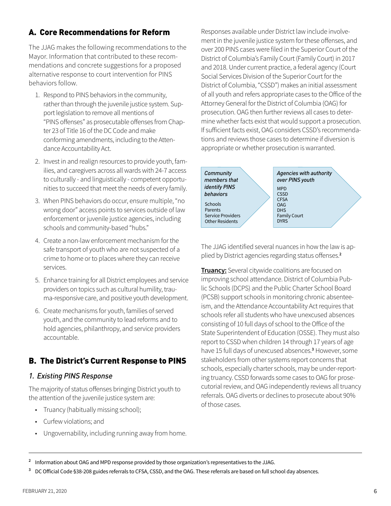## A. Core Recommendations for Reform

The JJAG makes the following recommendations to the Mayor. Information that contributed to these recommendations and concrete suggestions for a proposed alternative response to court intervention for PINS behaviors follow.

- 1. Respond to PINS behaviors in the community, rather than through the juvenile justice system. Support legislation to remove all mentions of "PINS offenses" as prosecutable offenses from Chapter 23 of Title 16 of the DC Code and make conforming amendments, including to the Attendance Accountability Act.
- 2. Invest in and realign resources to provide youth, families, and caregivers across all wards with 24-7 access to culturally - and linguistically - competent opportunities to succeed that meet the needs of every family.
- 3. When PINS behaviors do occur, ensure multiple, "no wrong door" access points to services outside of law enforcement or juvenile justice agencies, including schools and community-based "hubs."
- 4. Create a non-law enforcement mechanism for the safe transport of youth who are not suspected of a crime to home or to places where they can receive services.
- 5. Enhance training for all District employees and service providers on topics such as cultural humility, trauma-responsive care, and positive youth development.
- 6. Create mechanisms for youth, families of served youth, and the community to lead reforms and to hold agencies, philanthropy, and service providers accountable.

## B. The District's Current Response to PINS

## *1. Existing PINS Response*

The majority of status offenses bringing District youth to the attention of the juvenile justice system are:

- Truancy (habitually missing school);
- Curfew violations; and
- Ungovernability, including running away from home.

Responses available under District law include involvement in the juvenile justice system for these offenses, and over 200 PINS cases were filed in the Superior Court of the District of Columbia's Family Court (Family Court) in 2017 and 2018. Under current practice, a federal agency (Court Social Services Division of the Superior Court for the District of Columbia, "CSSD") makes an initial assessment of all youth and refers appropriate cases to the Office of the Attorney General for the District of Columbia (OAG) for prosecution. OAG then further reviews all cases to determine whether facts exist that would support a prosecution. If sufficient facts exist, OAG considers CSSD's recommendations and reviews those cases to determine if diversion is appropriate or whether prosecution is warranted.



The JJAG identified several nuances in how the law is applied by District agencies regarding status offenses. **2**

**Truancy:** Several citywide coalitions are focused on improving school attendance. District of Columbia Public Schools (DCPS) and the Public Charter School Board (PCSB) support schools in monitoring chronic absenteeism, and the Attendance Accountability Act requires that schools refer all students who have unexcused absences consisting of 10 full days of school to the Office of the State Superintendent of Education (OSSE). They must also report to CSSD when children 14 through 17 years of age have 15 full days of unexcused absences. **<sup>3</sup>**However, some stakeholders from other systems report concerns that schools, especially charter schools, may be under-reporting truancy. CSSD forwards some cases to OAG for prosecutorial review, and OAG independently reviews all truancy referrals. OAG diverts or declines to prosecute about 90% of those cases.

**3** DC Official Code §38-208 guides referrals to CFSA, CSSD, and the OAG. These referrals are based on full school day absences.

**<sup>2</sup>** Information about OAG and MPD response provided by those organization's representatives to the JJAG.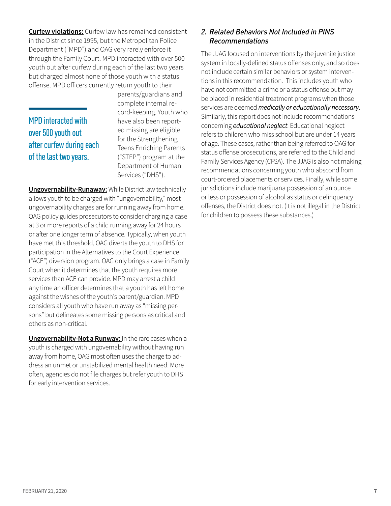**Curfew violations:** Curfew law has remained consistent in the District since 1995, but the Metropolitan Police Department ("MPD") and OAG very rarely enforce it through the Family Court. MPD interacted with over 500 youth out after curfew during each of the last two years but charged almost none of those youth with a status offense. MPD officers currently return youth to their

MPD interacted with over 500 youth out after curfew during each of the last two years.

parents/guardians and complete internal record-keeping. Youth who have also been reported missing are eligible for the Strengthening Teens Enriching Parents ("STEP") program at the Department of Human Services ("DHS").

**Ungovernability-Runaway:** While District law technically allows youth to be charged with "ungovernability," most ungovernability charges are for running away from home. OAG policy guides prosecutors to consider charging a case at 3 or more reports of a child running away for 24 hours or after one longer term of absence. Typically, when youth have met this threshold, OAG diverts the youth to DHS for participation in the Alternatives to the Court Experience ("ACE") diversion program. OAG only brings a case in Family Court when it determines that the youth requires more services than ACE can provide. MPD may arrest a child any time an officer determines that a youth has left home against the wishes of the youth's parent/guardian. MPD considers all youth who have run away as "missing persons" but delineates some missing persons as critical and others as non-critical.

**Ungovernability-Not a Runway:** In the rare cases when a youth is charged with ungovernability without having run away from home, OAG most often uses the charge to address an unmet or unstabilized mental health need. More often, agencies do not file charges but refer youth to DHS for early intervention services.

## *2. Related Behaviors Not Included in PINS Recommendations*

The JJAG focused on interventions by the juvenile justice system in locally-defined status offenses only, and so does not include certain similar behaviors or system interventions in this recommendation. This includes youth who have not committed a crime or a status offense but may be placed in residential treatment programs when those services are deemed *medically or educationally necessary*. Similarly, this report does not include recommendations concerning *educational neglect*. Educational neglect refers to children who miss school but are under 14 years of age. These cases, rather than being referred to OAG for status offense prosecutions, are referred to the Child and Family Services Agency (CFSA). The JJAG is also not making recommendations concerning youth who abscond from court-ordered placements or services. Finally, while some jurisdictions include marijuana possession of an ounce or less or possession of alcohol as status or delinquency offenses, the District does not. (It is not illegal in the District for children to possess these substances.)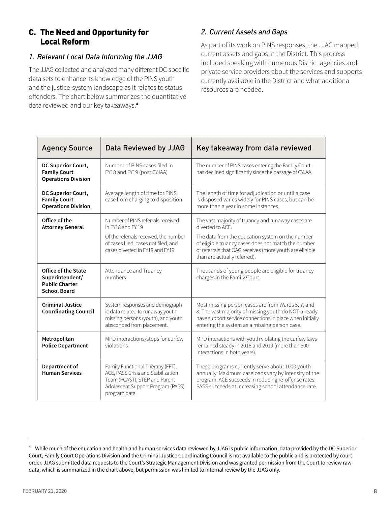## C. The Need and Opportunity for Local Reform

## *1. Relevant Local Data Informing the JJAG*

The JJAG collected and analyzed many different DC-specific data sets to enhance its knowledge of the PINS youth and the justice-system landscape as it relates to status offenders. The chart below summarizes the quantitative data reviewed and our key takeaways. **4**

## *2. Current Assets and Gaps*

As part of its work on PINS responses, the JJAG mapped current assets and gaps in the District. This process included speaking with numerous District agencies and private service providers about the services and supports currently available in the District and what additional resources are needed.

| <b>Agency Source</b>                                                                          | Data Reviewed by JJAG                                                                                                                                        | Key takeaway from data reviewed                                                                                                                                                                                         |
|-----------------------------------------------------------------------------------------------|--------------------------------------------------------------------------------------------------------------------------------------------------------------|-------------------------------------------------------------------------------------------------------------------------------------------------------------------------------------------------------------------------|
| DC Superior Court,<br><b>Family Court</b><br><b>Operations Division</b>                       | Number of PINS cases filed in<br>FY18 and FY19 (post CYJAA)                                                                                                  | The number of PINS cases entering the Family Court<br>has declined significantly since the passage of CYJAA.                                                                                                            |
| DC Superior Court,<br><b>Family Court</b><br><b>Operations Division</b>                       | Average length of time for PINS<br>case from charging to disposition                                                                                         | The length of time for adjudication or until a case<br>is disposed varies widely for PINS cases, but can be<br>more than a year in some instances.                                                                      |
| Office of the<br><b>Attorney General</b>                                                      | Number of PINS referrals received<br>in FY18 and FY19                                                                                                        | The vast majority of truancy and runaway cases are<br>diverted to ACE.                                                                                                                                                  |
|                                                                                               | Of the referrals received, the number<br>of cases filed, cases not filed, and<br>cases diverted in FY18 and FY19                                             | The data from the education system on the number<br>of eligible truancy cases does not match the number<br>of referrals that OAG receives (more youth are eligible<br>than are actually referred).                      |
| <b>Office of the State</b><br>Superintendent/<br><b>Public Charter</b><br><b>School Board</b> | Attendance and Truancy<br>numbers                                                                                                                            | Thousands of young people are eligible for truancy<br>charges in the Family Court.                                                                                                                                      |
| <b>Criminal Justice</b><br><b>Coordinating Council</b>                                        | System responses and demograph-<br>ic data related to runaway youth,<br>missing persons (youth), and youth<br>absconded from placement.                      | Most missing person cases are from Wards 5, 7, and<br>8. The vast majority of missing youth do NOT already<br>have support service connections in place when initially<br>entering the system as a missing person case. |
| Metropolitan<br><b>Police Department</b>                                                      | MPD interactions/stops for curfew<br>violations                                                                                                              | MPD interactions with youth violating the curfew laws<br>remained steady in 2018 and 2019 (more than 500<br>interactions in both years).                                                                                |
| Department of<br><b>Human Services</b>                                                        | Family Functional Therapy (FFT),<br>ACE, PASS Crisis and Stabilization<br>Team (PCAST), STEP and Parent<br>Adolescent Support Program (PASS)<br>program data | These programs currently serve about 1000 youth<br>annually. Maximum caseloads vary by intensity of the<br>program. ACE succeeds in reducing re-offense rates.<br>PASS succeeds at increasing school attendance rate.   |

**<sup>4</sup>** While much of the education and health and human services data reviewed by JJAG is public information, data provided by the DC Superior Court, Family Court Operations Division and the Criminal Justice Coordinating Council is not available to the public and is protected by court order. JJAG submitted data requests to the Court's Strategic Management Division and was granted permission from the Court to review raw data, which is summarized in the chart above, but permission was limited to internal review by the JJAG only.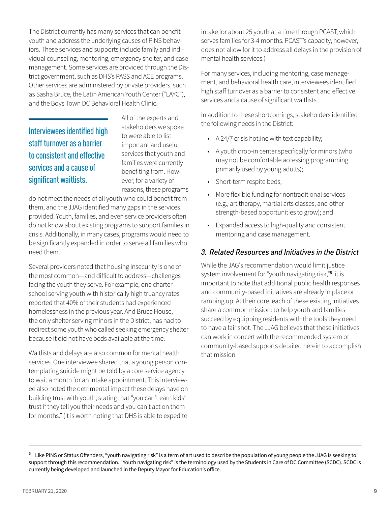The District currently has many services that can benefit youth and address the underlying causes of PINS behaviors. These services and supports include family and individual counseling, mentoring, emergency shelter, and case management. Some services are provided through the District government, such as DHS's PASS and ACE programs. Other services are administered by private providers, such as Sasha Bruce, the Latin American Youth Center ("LAYC"), and the Boys Town DC Behavioral Health Clinic.

Interviewees identified high staff turnover as a barrier to consistent and effective services and a cause of significant waitlists.

All of the experts and stakeholders we spoke to were able to list important and useful services that youth and families were currently benefiting from. However, for a variety of reasons, these programs

do not meet the needs of all youth who could benefit from them, and the JJAG identified many gaps in the services provided. Youth, families, and even service providers often do not know about existing programs to support families in crisis. Additionally, in many cases, programs would need to be significantly expanded in order to serve all families who need them.

Several providers noted that housing insecurity is one of the most common—and difficult to address—challenges facing the youth they serve. For example, one charter school serving youth with historically high truancy rates reported that 40% of their students had experienced homelessness in the previous year. And Bruce House, the only shelter serving minors in the District, has had to redirect some youth who called seeking emergency shelter because it did not have beds available at the time.

Waitlists and delays are also common for mental health services. One interviewee shared that a young person contemplating suicide might be told by a core service agency to wait a month for an intake appointment. This interviewee also noted the detrimental impact these delays have on building trust with youth, stating that "you can't earn kids' trust if they tell you their needs and you can't act on them for months." (It is worth noting that DHS is able to expedite

intake for about 25 youth at a time through PCAST, which serves families for 3-4 months. PCAST's capacity, however, does not allow for it to address all delays in the provision of mental health services.)

For many services, including mentoring, case management, and behavioral health care, interviewees identified high staff turnover as a barrier to consistent and effective services and a cause of significant waitlists.

In addition to these shortcomings, stakeholders identified the following needs in the District:

- A 24/7 crisis hotline with text capability;
- A youth drop-in center specifically for minors (who may not be comfortable accessing programming primarily used by young adults);
- Short-term respite beds;
- More flexible funding for nontraditional services (e.g., art therapy, martial arts classes, and other strength-based opportunities to grow); and
- Expanded access to high-quality and consistent mentoring and case management.

## *3. Related Resources and Initiatives in the District*

While the JAG's recommendation would limit justice system involvement for "youth navigating risk,"**<sup>5</sup>** it is important to note that additional public health responses and community-based initiatives are already in place or ramping up. At their core, each of these existing initiatives share a common mission: to help youth and families succeed by equipping residents with the tools they need to have a fair shot. The JJAG believes that these initiatives can work in concert with the recommended system of community-based supports detailed herein to accomplish that mission.

**<sup>5</sup>** Like PINS or Status Offenders, "youth navigating risk" is a term of art used to describe the population of young people the JJAG is seeking to support through this recommendation. "Youth navigating risk" is the terminology used by the Students in Care of DC Committee (SCDC). SCDC is currently being developed and launched in the Deputy Mayor for Education's office.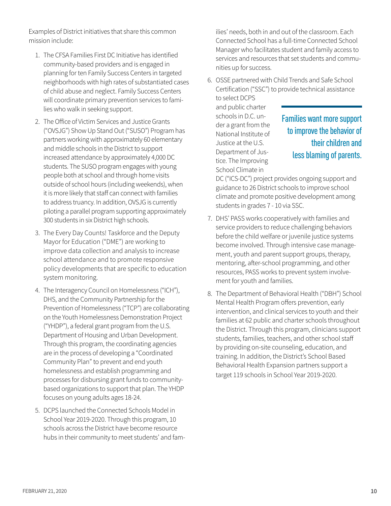Examples of District initiatives that share this common mission include:

- 1. The CFSA Families First DC Initiative has identified community-based providers and is engaged in planning for ten Family Success Centers in targeted neighborhoods with high rates of substantiated cases of child abuse and neglect. Family Success Centers will coordinate primary prevention services to families who walk in seeking support.
- 2. The Office of Victim Services and Justice Grants ("OVSJG") Show Up Stand Out ("SUSO") Program has partners working with approximately 60 elementary and middle schools in the District to support increased attendance by approximately 4,000 DC students. The SUSO program engages with young people both at school and through home visits outside of school hours (including weekends), when it is more likely that staff can connect with families to address truancy. In addition, OVSJG is currently piloting a parallel program supporting approximately 300 students in six District high schools.
- 3. The Every Day Counts! Taskforce and the Deputy Mayor for Education ("DME") are working to improve data collection and analysis to increase school attendance and to promote responsive policy developments that are specific to education system monitoring.
- 4. The Interagency Council on Homelessness ("ICH"), DHS, and the Community Partnership for the Prevention of Homelessness ("TCP") are collaborating on the Youth Homelessness Demonstration Project ("YHDP"), a federal grant program from the U.S. Department of Housing and Urban Development. Through this program, the coordinating agencies are in the process of developing a "Coordinated Community Plan" to prevent and end youth homelessness and establish programming and processes for disbursing grant funds to communitybased organizations to support that plan. The YHDP focuses on young adults ages 18-24.
- 5. DCPS launched the Connected Schools Model in School Year 2019-2020. Through this program, 10 schools across the District have become resource hubs in their community to meet students' and fam-

ilies' needs, both in and out of the classroom. Each Connected School has a full-time Connected School Manager who facilitates student and family access to services and resources that set students and communities up for success.

6. OSSE partnered with Child Trends and Safe School Certification ("SSC") to provide technical assistance

to select DCPS and public charter schools in D.C. under a grant from the National Institute of Justice at the U.S. Department of Justice. The Improving School Climate in

# Families want more support to improve the behavior of their children and less blaming of parents.

DC ("ICS-DC") project provides ongoing support and guidance to 26 District schools to improve school climate and promote positive development among students in grades 7 - 10 via SSC.

- 7. DHS' PASS works cooperatively with families and service providers to reduce challenging behaviors before the child welfare or juvenile justice systems become involved. Through intensive case management, youth and parent support groups, therapy, mentoring, after-school programming, and other resources, PASS works to prevent system involvement for youth and families.
- 8. The Department of Behavioral Health ("DBH") School Mental Health Program offers prevention, early intervention, and clinical services to youth and their families at 62 public and charter schools throughout the District. Through this program, clinicians support students, families, teachers, and other school staff by providing on-site counseling, education, and training. In addition, the District's School Based Behavioral Health Expansion partners support a target 119 schools in School Year 2019-2020.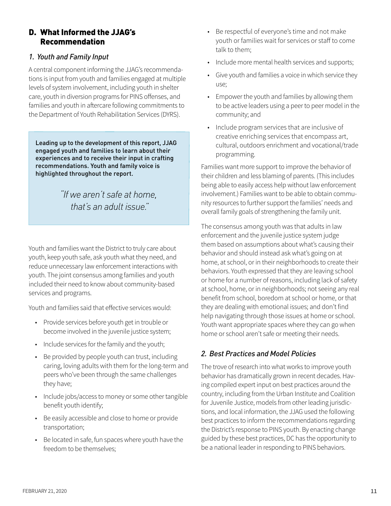## D. What Informed the JJAG's Recommendation

## *1. Youth and Family Input*

A central component informing the JJAG's recommendations is input from youth and families engaged at multiple levels of system involvement, including youth in shelter care, youth in diversion programs for PINS offenses, and families and youth in aftercare following commitments to the Department of Youth Rehabilitation Services (DYRS).

Leading up to the development of this report, JJAG engaged youth and families to learn about their experiences and to receive their input in crafting recommendations. Youth and family voice is highlighted throughout the report.

> *"If we aren't safe at home, that's an adult issue."*

Youth and families want the District to truly care about youth, keep youth safe, ask youth what they need, and reduce unnecessary law enforcement interactions with youth. The joint consensus among families and youth included their need to know about community-based services and programs.

Youth and families said that effective services would:

- Provide services before youth get in trouble or become involved in the juvenile justice system;
- Include services for the family and the youth;
- Be provided by people youth can trust, including caring, loving adults with them for the long-term and peers who've been through the same challenges they have;
- Include jobs/access to money or some other tangible benefit youth identify;
- Be easily accessible and close to home or provide transportation;
- Be located in safe, fun spaces where youth have the freedom to be themselves;
- Be respectful of everyone's time and not make youth or families wait for services or staff to come talk to them;
- Include more mental health services and supports;
- Give youth and families a voice in which service they use;
- Empower the youth and families by allowing them to be active leaders using a peer to peer model in the community; and
- Include program services that are inclusive of creative enriching services that encompass art, cultural, outdoors enrichment and vocational/trade programming.

Families want more support to improve the behavior of their children and less blaming of parents. (This includes being able to easily access help without law enforcement involvement.) Families want to be able to obtain community resources to further support the families' needs and overall family goals of strengthening the family unit.

The consensus among youth was that adults in law enforcement and the juvenile justice system judge them based on assumptions about what's causing their behavior and should instead ask what's going on at home, at school, or in their neighborhoods to create their behaviors. Youth expressed that they are leaving school or home for a number of reasons, including lack of safety at school, home, or in neighborhoods; not seeing any real benefit from school, boredom at school or home, or that they are dealing with emotional issues; and don't find help navigating through those issues at home or school. Youth want appropriate spaces where they can go when home or school aren't safe or meeting their needs.

## *2. Best Practices and Model Policies*

The trove of research into what works to improve youth behavior has dramatically grown in recent decades. Having compiled expert input on best practices around the country, including from the Urban Institute and Coalition for Juvenile Justice, models from other leading jurisdictions, and local information, the JJAG used the following best practices to inform the recommendations regarding the District's response to PINS youth. By enacting change guided by these best practices, DC has the opportunity to be a national leader in responding to PINS behaviors.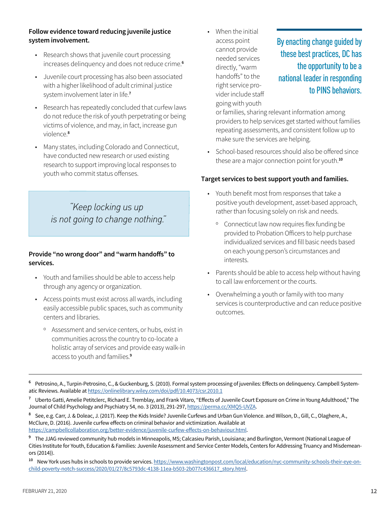#### **Follow evidence toward reducing juvenile justice system involvement.**

- Research shows that juvenile court processing increases delinquency and does not reduce crime. **6**
- Juvenile court processing has also been associated with a higher likelihood of adult criminal justice system involvement later in life. **7**
- Research has repeatedly concluded that curfew laws do not reduce the risk of youth perpetrating or being victims of violence, and may, in fact, increase gun violence. **8**
- Many states, including Colorado and Connecticut, have conducted new research or used existing research to support improving local responses to youth who commit status offenses.

*"Keep locking us up is not going to change nothing."*

#### **Provide "no wrong door" and "warm handoffs" to services.**

- Youth and families should be able to access help through any agency or organization.
- Access points must exist across all wards, including easily accessible public spaces, such as community centers and libraries.
	- º Assessment and service centers, or hubs, exist in communities across the country to co-locate a holistic array of services and provide easy walk-in access to youth and families. **9**

When the initial access point cannot provide needed services directly, "warm handoffs" to the right service provider include staff going with youth

# By enacting change guided by these best practices, DC has the opportunity to be a national leader in responding to PINS behaviors.

or families, sharing relevant information among providers to help services get started without families repeating assessments, and consistent follow up to make sure the services are helping.

• School-based resources should also be offered since these are a major connection point for youth. **10**

#### **Target services to best support youth and families.**

- Youth benefit most from responses that take a positive youth development, asset-based approach, rather than focusing solely on risk and needs.
	- º Connecticut law now requires flex funding be provided to Probation Officers to help purchase individualized services and fill basic needs based on each young person's circumstances and interests.
- Parents should be able to access help without having to call law enforcement or the courts.
- Overwhelming a youth or family with too many services is counterproductive and can reduce positive outcomes.

<sup>10</sup> New York uses hubs in schools to provide services. https://www.washingtonpost.com/local/education/nyc-community-schools-their-eye-onchild-poverty-notch-success/2020/01/27/8c5793dc-4138-11ea-b503-2b077c436617\_story.html.

**<sup>6</sup>** Petrosino, A., Turpin-Petrosino, C., & Guckenburg, S. (2010). Formal system processing of juveniles: Effects on delinquency. Campbell Systematic Reviews. Available at https://onlinelibrary.wiley.com/doi/pdf/10.4073/csr.2010.1

**<sup>7</sup>** Uberto Gatti, Amelie Petitclerc, Richard E. Tremblay, and Frank Vitaro, "Effects of Juvenile Court Exposure on Crime in Young Adulthood," The Journal of Child Psychology and Psychiatry 54, no. 3 (2013), 291-297, https://perma.cc/XMQ5-UVZA.

**<sup>8</sup>** See, e.g. Carr, J. & Doleac, J. (2017). Keep the Kids Inside? Juvenile Curfews and Urban Gun Violence. and Wilson, D., Gill, C., Olaghere, A., McClure, D. (2016). Juvenile curfew effects on criminal behavior and victimization. Available at https://campbellcollaboration.org/better-evidence/juvenile-curfew-effects-on-behaviour.html.

**<sup>9</sup>** The JJAG reviewed community hub models in Minneapolis, MS; Calcasieu Parish, Louisiana; and Burlington, Vermont (National League of Cities Institute for Youth, Education & Families: Juvenile Assessment and Service Center Models, Centers for Addressing Truancy and Misdemeanors (2014)).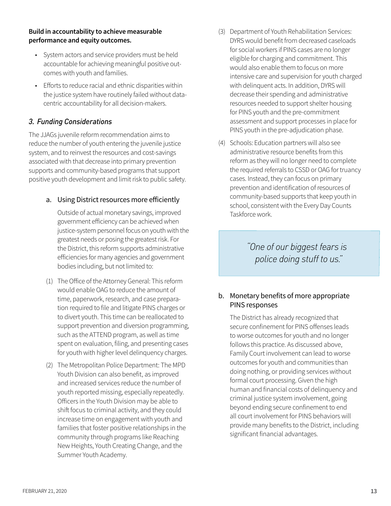#### **Build in accountability to achieve measurable performance and equity outcomes.**

- System actors and service providers must be held accountable for achieving meaningful positive outcomes with youth and families.
- Efforts to reduce racial and ethnic disparities within the justice system have routinely failed without datacentric accountability for all decision-makers.

## *3. Funding Considerations*

The JJAGs juvenile reform recommendation aims to reduce the number of youth entering the juvenile justice system, and to reinvest the resources and cost-savings associated with that decrease into primary prevention supports and community-based programs that support positive youth development and limit risk to public safety.

#### a. Using District resources more efficiently

Outside of actual monetary savings, improved government efficiency can be achieved when justice-system personnel focus on youth with the greatest needs or posing the greatest risk. For the District, this reform supports administrative efficiencies for many agencies and government bodies including, but not limited to:

- (1) The Office of the Attorney General: This reform would enable OAG to reduce the amount of time, paperwork, research, and case preparation required to file and litigate PINS charges or to divert youth. This time can be reallocated to support prevention and diversion programming, such as the ATTEND program, as well as time spent on evaluation, filing, and presenting cases for youth with higher level delinquency charges.
- (2) The Metropolitan Police Department: The MPD Youth Division can also benefit, as improved and increased services reduce the number of youth reported missing, especially repeatedly. Officers in the Youth Division may be able to shift focus to criminal activity, and they could increase time on engagement with youth and families that foster positive relationships in the community through programs like Reaching New Heights, Youth Creating Change, and the Summer Youth Academy.
- (3) Department of Youth Rehabilitation Services: DYRS would benefit from decreased caseloads for social workers if PINS cases are no longer eligible for charging and commitment. This would also enable them to focus on more intensive care and supervision for youth charged with delinquent acts. In addition, DYRS will decrease their spending and administrative resources needed to support shelter housing for PINS youth and the pre-commitment assessment and support processes in place for PINS youth in the pre-adjudication phase.
- (4) Schools: Education partners will also see administrative resource benefits from this reform as they will no longer need to complete the required referrals to CSSD or OAG for truancy cases. Instead, they can focus on primary prevention and identification of resources of community-based supports that keep youth in school, consistent with the Every Day Counts Taskforce work.

*"One of our biggest fears is police doing stuff to us."*

## b. Monetary benefits of more appropriate PINS responses

The District has already recognized that secure confinement for PINS offenses leads to worse outcomes for youth and no longer follows this practice. As discussed above, Family Court involvement can lead to worse outcomes for youth and communities than doing nothing, or providing services without formal court processing. Given the high human and financial costs of delinquency and criminal justice system involvement, going beyond ending secure confinement to end all court involvement for PINS behaviors will provide many benefits to the District, including significant financial advantages.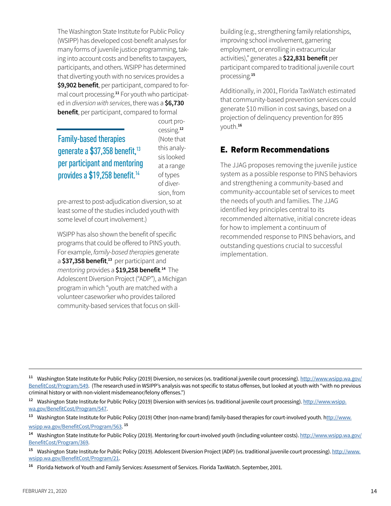The Washington State Institute for Public Policy (WSIPP) has developed cost-benefit analyses for many forms of juvenile justice programming, taking into account costs and benefits to taxpayers, participants, and others. WSIPP has determined that diverting youth with no services provides a **\$9,902 benefit**, per participant, compared to formal court processing. **11** For youth who participated in *diversion with services*, there was a **\$6,730 benefit**, per participant, compared to formal

Family-based therapies generate a \$37,358 benefit,<sup>13</sup> per participant and mentoring provides a \$19,258 benefit.<sup>14</sup>

court processing. **12** (Note that this analysis looked at a range of types of diversion, from

pre-arrest to post-adjudication diversion, so at least some of the studies included youth with some level of court involvement.)

WSIPP has also shown the benefit of specific programs that could be offered to PINS youth. For example, *family-based therapie*s generate a \$37,358 benefit,<sup>13</sup> per participant and *mentoring* provides a **\$19,258 benefit**. **<sup>14</sup>** The Adolescent Diversion Project ("ADP"), a Michigan program in which "youth are matched with a volunteer caseworker who provides tailored community-based services that focus on skillbuilding (e.g., strengthening family relationships, improving school involvement, garnering employment, or enrolling in extracurricular activities)," generates a **\$22,831 benefit** per participant compared to traditional juvenile court processing **<sup>15</sup>**

Additionally, in 2001, Florida TaxWatch estimated that community-based prevention services could generate \$10 million in cost savings, based on a projection of delinquency prevention for 895 youth **<sup>16</sup>**

## E. Reform Recommendations

The JJAG proposes removing the juvenile justice system as a possible response to PINS behaviors and strengthening a community-based and community-accountable set of services to meet the needs of youth and families. The JJAG identified key principles central to its recommended alternative, initial concrete ideas for how to implement a continuum of recommended response to PINS behaviors, and outstanding questions crucial to successful implementation

**<sup>11</sup>** Washington State Institute for Public Policy (2019) Diversion, no services (vs. traditional juvenile court processing). http://www.wsipp.wa.gov/ BenefitCost/Program/549. (The research used in WSIPP's analysis was not specific to status offenses, but looked at youth with "with no previous criminal history or with non-violent misdemeanor/felony offenses.")

**<sup>12</sup>** Washington State Institute for Public Policy (2019) Diversion with services (vs. traditional juvenile court processing). http://www.wsipp. wa.gov/BenefitCost/Program/547.

**<sup>13</sup>** Washington State Institute for Public Policy (2019) Other (non-name brand) family-based therapies for court-involved youth. http://www. wsipp.wa.gov/BenefitCost/Program/563. **<sup>15</sup>**

<sup>14</sup> Washington State Institute for Public Policy (2019). Mentoring for court-involved youth (including volunteer costs). http://www.wsipp.wa.gov/ BenefitCost/Program/369.

**<sup>15</sup>** Washington State Institute for Public Policy (2019). Adolescent Diversion Project (ADP) (vs. traditional juvenile court processing). http://www. wsipp.wa.gov/BenefitCost/Program/21.

**<sup>16</sup>** Florida Network of Youth and Family Services: Assessment of Services. Florida TaxWatch. September, 2001.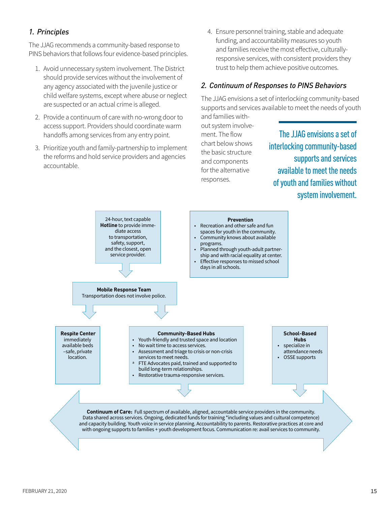## *1. Principles*

The JJAG recommends a community-based response to PINS behaviors that follows four evidence-based principles.

- 1. Avoid unnecessary system involvement. The District should provide services without the involvement of any agency associated with the juvenile justice or child welfare systems, except where abuse or neglect are suspected or an actual crime is alleged.
- 2. Provide a continuum of care with no-wrong door to access support. Providers should coordinate warm handoffs among services from any entry point.
- 3. Prioritize youth and family-partnership to implement the reforms and hold service providers and agencies accountable.

4. Ensure personnel training, stable and adequate funding, and accountability measures so youth and families receive the most effective, culturallyresponsive services, with consistent providers they trust to help them achieve positive outcomes.

## *2. Continuum of Responses to PINS Behaviors*

The JJAG envisions a set of interlocking community-based supports and services available to meet the needs of youth and families with-

out system involvement. The flow chart below shows the basic structure and components for the alternative responses.

The JJAG envisions a set of interlocking community-based supports and services available to meet the needs of youth and families without system involvement.

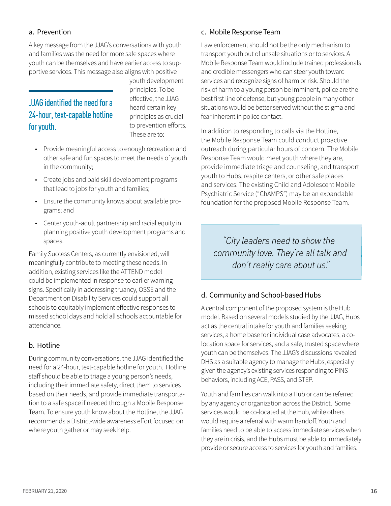## a. Prevention

A key message from the JJAG's conversations with youth and families was the need for more safe spaces where youth can be themselves and have earlier access to supportive services. This message also aligns with positive

# JJAG identified the need for a 24-hour, text-capable hotline for youth.

youth development principles. To be effective, the JJAG heard certain key principles as crucial to prevention efforts. These are to:

- Provide meaningful access to enough recreation and other safe and fun spaces to meet the needs of youth in the community;
- Create jobs and paid skill development programs that lead to jobs for youth and families;
- Ensure the community knows about available programs; and
- Center youth-adult partnership and racial equity in planning positive youth development programs and spaces.

Family Success Centers, as currently envisioned, will meaningfully contribute to meeting these needs. In addition, existing services like the ATTEND model could be implemented in response to earlier warning signs. Specifically in addressing truancy, OSSE and the Department on Disability Services could support all schools to equitably implement effective responses to missed school days and hold all schools accountable for attendance.

## b. Hotline

During community conversations, the JJAG identified the need for a 24-hour, text-capable hotline for youth. Hotline staff should be able to triage a young person's needs, including their immediate safety, direct them to services based on their needs, and provide immediate transportation to a safe space if needed through a Mobile Response Team. To ensure youth know about the Hotline, the JJAG recommends a District-wide awareness effort focused on where youth gather or may seek help.

#### c. Mobile Response Team

Law enforcement should not be the only mechanism to transport youth out of unsafe situations or to services. A Mobile Response Team would include trained professionals and credible messengers who can steer youth toward services and recognize signs of harm or risk. Should the risk of harm to a young person be imminent, police are the best first line of defense, but young people in many other situations would be better served without the stigma and fear inherent in police contact.

In addition to responding to calls via the Hotline, the Mobile Response Team could conduct proactive outreach during particular hours of concern. The Mobile Response Team would meet youth where they are, provide immediate triage and counseling, and transport youth to Hubs, respite centers, or other safe places and services. The existing Child and Adolescent Mobile Psychiatric Service ("ChAMPS") may be an expandable foundation for the proposed Mobile Response Team.

*"City leaders need to show the community love. They're all talk and don't really care about us."*

## d. Community and School-based Hubs

A central component of the proposed system is the Hub model. Based on several models studied by the JJAG, Hubs act as the central intake for youth and families seeking services, a home base for individual case advocates, a colocation space for services, and a safe, trusted space where youth can be themselves. The JJAG's discussions revealed DHS as a suitable agency to manage the Hubs, especially given the agency's existing services responding to PINS behaviors, including ACE, PASS, and STEP.

Youth and families can walk into a Hub or can be referred by any agency or organization across the District. Some services would be co-located at the Hub, while others would require a referral with warm handoff. Youth and families need to be able to access immediate services when they are in crisis, and the Hubs must be able to immediately provide or secure access to services for youth and families.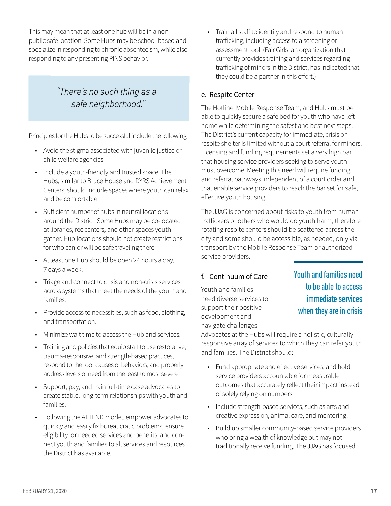This may mean that at least one hub will be in a nonpublic safe location. Some Hubs may be school-based and specialize in responding to chronic absenteeism, while also responding to any presenting PINS behavior.

## *"There's no such thing as a safe neighborhood."*

Principles for the Hubs to be successful include the following:

- Avoid the stigma associated with juvenile justice or child welfare agencies.
- Include a youth-friendly and trusted space. The Hubs, similar to Bruce House and DYRS Achievement Centers, should include spaces where youth can relax and be comfortable.
- Sufficient number of hubs in neutral locations around the District. Some Hubs may be co-located at libraries, rec centers, and other spaces youth gather. Hub locations should not create restrictions for who can or will be safe traveling there.
- At least one Hub should be open 24 hours a day, 7 days a week.
- Triage and connect to crisis and non-crisis services across systems that meet the needs of the youth and families.
- Provide access to necessities, such as food, clothing, and transportation.
- Minimize wait time to access the Hub and services.
- Training and policies that equip staff to use restorative, trauma-responsive, and strength-based practices, respond to the root causes of behaviors, and properly address levels of need from the least to most severe.
- Support, pay, and train full-time case advocates to create stable, long-term relationships with youth and families.
- Following the ATTEND model, empower advocates to quickly and easily fix bureaucratic problems, ensure eligibility for needed services and benefits, and connect youth and families to all services and resources the District has available.

Train all staff to identify and respond to human trafficking, including access to a screening or assessment tool. (Fair Girls, an organization that currently provides training and services regarding trafficking of minors in the District, has indicated that they could be a partner in this effort.)

## e. Respite Center

The Hotline, Mobile Response Team, and Hubs must be able to quickly secure a safe bed for youth who have left home while determining the safest and best next steps. The District's current capacity for immediate, crisis or respite shelter is limited without a court referral for minors. Licensing and funding requirements set a very high bar that housing service providers seeking to serve youth must overcome. Meeting this need will require funding and referral pathways independent of a court order and that enable service providers to reach the bar set for safe, effective youth housing.

The JJAG is concerned about risks to youth from human traffickers or others who would do youth harm, therefore rotating respite centers should be scattered across the city and some should be accessible, as needed, only via transport by the Mobile Response Team or authorized service providers.

## f. Continuum of Care

Youth and families need diverse services to support their positive development and navigate challenges.

Youth and families need to be able to access immediate services when they are in crisis

Advocates at the Hubs will require a holistic, culturallyresponsive array of services to which they can refer youth and families. The District should:

- Fund appropriate and effective services, and hold service providers accountable for measurable outcomes that accurately reflect their impact instead of solely relying on numbers.
- Include strength-based services, such as arts and creative expression, animal care, and mentoring.
- Build up smaller community-based service providers who bring a wealth of knowledge but may not traditionally receive funding. The JJAG has focused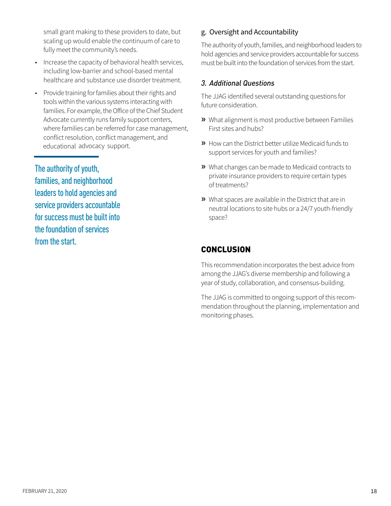small grant making to these providers to date, but scaling up would enable the continuum of care to fully meet the community's needs.

- Increase the capacity of behavioral health services, including low-barrier and school-based mental healthcare and substance use disorder treatment
- Provide training for families about their rights and tools within the various systems interacting with families. For example, the Office of the Chief Student Advocate currently runs family support centers, where families can be referred for case management, conflict resolution, conflict management, and educational advocacy support.

The authority of youth, families, and neighborhood leaders to hold agencies and service providers accountable for success must be built into the foundation of services from the start.

## g. Oversight and Accountability

The authority of youth, families, and neighborhood leaders to hold agencies and service providers accountable for success must be built into the foundation of services from the start.

## *3. Additional Questions*

The JJAG identified several outstanding questions for future consideration.

- **»** What alignment is most productive between Families First sites and hubs?
- **»** How can the District better utilize Medicaid funds to support services for youth and families?
- **»** What changes can be made to Medicaid contracts to private insurance providers to require certain types of treatments?
- **»** What spaces are available in the District that are in neutral locations to site hubs or a 24/7 youth-friendly space?

## **CONCLUSION**

This recommendation incorporates the best advice from among the JJAG's diverse membership and following a year of study, collaboration, and consensus-building.

The JJAG is committed to ongoing support of this recommendation throughout the planning, implementation and monitoring phases.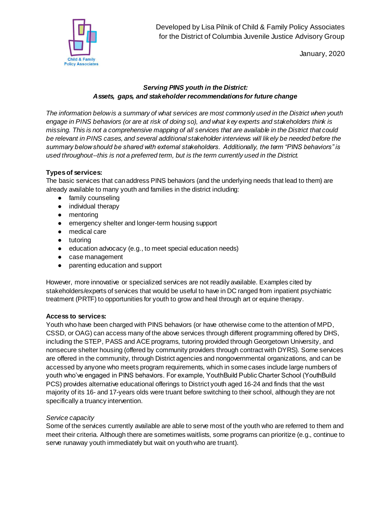

Developed by Lisa Pilnik of Child & Family Policy Associates for the District of Columbia Juvenile Justice Advisory Group

January, 2020

#### *Serving PINS youth in the District: Assets, gaps, and stakeholder recommendations for future change*

*The information below is a summary of what services are most commonly used in the District when youth engage in PINS behaviors (or are at risk of doing so), and what key experts and stakeholders think is missing. This is not a comprehensive mapping of all services that are available in the District that could be relevant in PINS cases, and several additional stakeholder interviews will likely be needed before the summary below should be shared with external stakeholders. Additionally, the term "PINS behaviors" is used throughout--this is not a preferred term, but is the term currently used in the District.*

## **Types of services:**

The basic services that can address PINS behaviors (and the underlying needs that lead to them) are already available to many youth and families in the district including:

- family counseling
- individual therapy
- mentoring
- emergency shelter and longer-term housing support
- medical care
- tutoring
- education advocacy (e.g., to meet special education needs)
- case management
- parenting education and support

However, more innovative or specialized services are not readily available. Examples cited by stakeholders/experts of services that would be useful to have in DC ranged from inpatient psychiatric treatment (PRTF) to opportunities for youth to grow and heal through art or equine therapy.

#### **Access to services:**

Youth who have been charged with PINS behaviors (or have otherwise come to the attention of MPD, CSSD, or OAG) can access many of the above services through different programming offered by DHS, including the STEP, PASS and ACE programs, tutoring provided through Georgetown University, and nonsecure shelter housing (offered by community providers through contract with DYRS). Some services are offered in the community, through District agencies and nongovernmental organizations, and can be accessed by anyone who meets program requirements, which in some cases include large numbers of youth who've engaged in PINS behaviors. For example, YouthBuild Public Charter School (YouthBuild PCS) provides alternative educational offerings to District youth aged 16-24 and finds that the vast majority of its 16- and 17-years olds were truant before switching to their school, although they are not specifically a truancy intervention.

#### *Service capacity*

Some of the services currently available are able to serve most of the youth who are referred to them and meet their criteria. Although there are sometimes waitlists, some programs can prioritize (e.g., continue to serve runaway youth immediately but wait on youth who are truant).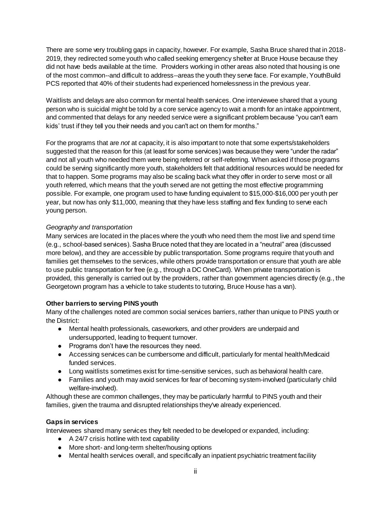There are some very troubling gaps in capacity, however. For example, Sasha Bruce shared that in 2018- 2019, they redirected some youth who called seeking emergency shelter at Bruce House because they did not have beds available at the time. Providers working in other areas also noted that housing is one of the most common--and difficult to address--areas the youth they serve face. For example, YouthBuild PCS reported that 40% of their students had experienced homelessness in the previous year.

Waitlists and delays are also common for mental health services. One interviewee shared that a young person who is suicidal might be told by a core service agency to wait a month for an intake appointment, and commented that delays for any needed service were a significant problem because "you can't earn kids' trust if they tell you their needs and you can't act on them for months."

For the programs that are *not* at capacity, it is also important to note that some experts/stakeholders suggested that the reason for this (at least for some services) was because they were "under the radar" and not all youth who needed them were being referred or self-referring. When asked if those programs could be serving significantly more youth, stakeholders felt that additional resources would be needed for that to happen. Some programs may also be scaling back what they offer in order to serve most or all youth referred, which means that the youth served are not getting the most effective programming possible. For example, one program used to have funding equivalent to \$15,000-\$16,000 per youth per year, but now has only \$11,000, meaning that they have less staffing and flex funding to serve each young person.

#### *Geography and transportation*

Many services are located in the places where the youth who need them the most live and spend time (e.g., school-based services). Sasha Bruce noted that they are located in a "neutral" area (discussed more below), and they are accessible by public transportation. Some programs require that youth and families get themselves to the services, while others provide transportation or ensure that youth are able to use public transportation for free (e.g., through a DC OneCard). When private transportation is provided, this generally is carried out by the providers, rather than government agencies directly (e.g., the Georgetown program has a vehicle to take students to tutoring, Bruce House has a van).

#### **Other barriers to serving PINS youth**

Many of the challenges noted are common social services barriers, rather than unique to PINS youth or the District:

- Mental health professionals, caseworkers, and other providers are underpaid and undersupported, leading to frequent turnover.
- Programs don't have the resources they need.
- Accessing services can be cumbersome and difficult, particularly for mental health/Medicaid funded services.
- Long waitlists sometimes exist for time-sensitive services, such as behavioral health care.
- Families and youth may avoid services for fear of becoming system-involved (particularly child welfare-involved).

Although these are common challenges, they may be particularly harmful to PINS youth and their families, given the trauma and disrupted relationships they've already experienced.

#### **Gaps in services**

Interviewees shared many services they felt needed to be developed or expanded, including:

- A 24/7 crisis hotline with text capability
- More short- and long-term shelter/housing options
- Mental health services overall, and specifically an inpatient psychiatric treatment facility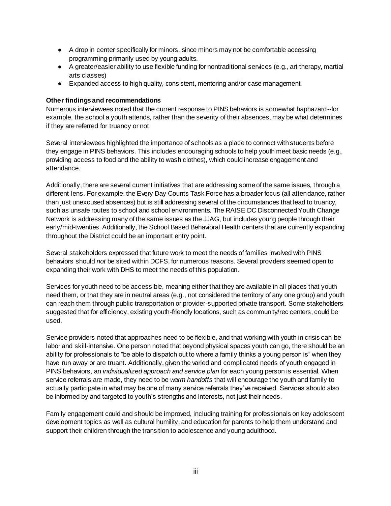- A drop in center specifically for minors, since minors may not be comfortable accessing programming primarily used by young adults.
- A greater/easier ability to use flexible funding for nontraditional services (e.g., art therapy, martial arts classes)
- Expanded access to high quality, consistent, mentoring and/or case management.

#### **Other findings and recommendations**

Numerous interviewees noted that the current response to PINS behaviors is somewhat haphazard--for example, the school a youth attends, rather than the severity of their absences, may be what determines if they are referred for truancy or not.

Several interviewees highlighted the importance of schools as a place to connect with students before they engage in PINS behaviors. This includes encouraging schools to help youth meet basic needs (e.g., providing access to food and the ability to wash clothes), which could increase engagement and attendance.

Additionally, there are several current initiatives that are addressing some of the same issues, through a different lens. For example, the Every Day Counts Task Force has a broader focus (all attendance, rather than just unexcused absences) but is still addressing several of the circumstances that lead to truancy, such as unsafe routes to school and school environments. The RAISE DC Disconnected Youth Change Network is addressing many of the same issues as the JJAG, but includes young people through their early/mid-twenties. Additionally, the School Based Behavioral Health centers that are currently expanding throughout the District could be an important entry point.

Several stakeholders expressed that future work to meet the needs of families involved with PINS behaviors should *not* be sited within DCFS, for numerous reasons. Several providers seemed open to expanding their work with DHS to meet the needs of this population.

Services for youth need to be accessible, meaning either that they are available in all places that youth need them, or that they are in neutral areas (e.g., not considered the territory of any one group) and youth can reach them through public transportation or provider-supported private transport. Some stakeholders suggested that for efficiency, existing youth-friendly locations, such as community/rec centers, could be used.

Service providers noted that approaches need to be flexible, and that working with youth in crisis can be labor and skill-intensive. One person noted that beyond physical spaces youth can go, there should be an ability for professionals to "be able to dispatch out to where a family thinks a young person is" when they have run away or are truant. Additionally, given the varied and complicated needs of youth engaged in PINS behaviors, an *individualized approach and service plan* for each young person is essential. When service referrals are made, they need to be *warm handoffs* that will encourage the youth and family to actually participate in what may be one of many service referrals they've received. Services should also be informed by and targeted to youth's strengths and interests, not just their needs.

Family engagement could and should be improved, including training for professionals on key adolescent development topics as well as cultural humility, and education for parents to help them understand and support their children through the transition to adolescence and young adulthood.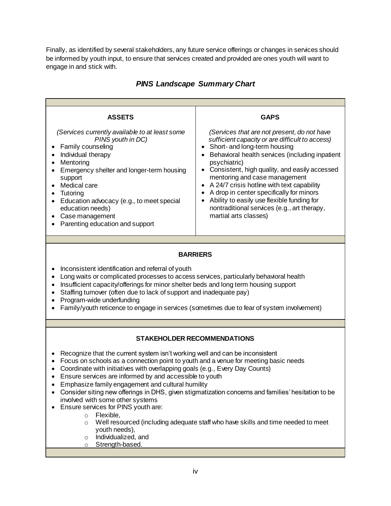Finally, as identified by several stakeholders, any future service offerings or changes in services should be informed by youth input, to ensure that services created and provided are ones youth will want to engage in and stick with.

| <b>ASSETS</b><br>(Services currently available to at least some<br>PINS youth in DC)<br>Family counseling<br>Individual therapy<br>Mentoring<br>Emergency shelter and longer-term housing<br>support<br>Medical care<br>Tutoring<br>Education advocacy (e.g., to meet special<br>education needs)<br>Case management<br>Parenting education and support                                                                                                                                                                                                                                                                                                                                                                                                                                                        | <b>GAPS</b><br>(Services that are not present, do not have<br>sufficient capacity or are difficult to access)<br>Short- and long-term housing<br>Behavioral health services (including inpatient<br>٠<br>psychiatric)<br>Consistent, high quality, and easily accessed<br>$\bullet$<br>mentoring and case management<br>A 24/7 crisis hotline with text capability<br>$\bullet$<br>A drop in center specifically for minors<br>Ability to easily use flexible funding for<br>nontraditional services (e.g., art therapy,<br>martial arts classes) |  |  |  |
|----------------------------------------------------------------------------------------------------------------------------------------------------------------------------------------------------------------------------------------------------------------------------------------------------------------------------------------------------------------------------------------------------------------------------------------------------------------------------------------------------------------------------------------------------------------------------------------------------------------------------------------------------------------------------------------------------------------------------------------------------------------------------------------------------------------|---------------------------------------------------------------------------------------------------------------------------------------------------------------------------------------------------------------------------------------------------------------------------------------------------------------------------------------------------------------------------------------------------------------------------------------------------------------------------------------------------------------------------------------------------|--|--|--|
|                                                                                                                                                                                                                                                                                                                                                                                                                                                                                                                                                                                                                                                                                                                                                                                                                |                                                                                                                                                                                                                                                                                                                                                                                                                                                                                                                                                   |  |  |  |
| <b>BARRIERS</b><br>Inconsistent identification and referral of youth<br>Long waits or complicated processes to access services, particularly behavioral health<br>Insufficient capacity/offerings for minor shelter beds and long term housing support<br>Staffing turnover (often due to lack of support and inadequate pay)<br>Program-wide underfunding<br>Family/youth reticence to engage in services (sometimes due to fear of system involvement)                                                                                                                                                                                                                                                                                                                                                       |                                                                                                                                                                                                                                                                                                                                                                                                                                                                                                                                                   |  |  |  |
|                                                                                                                                                                                                                                                                                                                                                                                                                                                                                                                                                                                                                                                                                                                                                                                                                |                                                                                                                                                                                                                                                                                                                                                                                                                                                                                                                                                   |  |  |  |
| <b>STAKEHOLDER RECOMMENDATIONS</b><br>Recognize that the current system isn't working well and can be inconsistent<br>Focus on schools as a connection point to youth and a venue for meeting basic needs<br>$\bullet$<br>Coordinate with initiatives with overlapping goals (e.g., Every Day Counts)<br>Ensure services are informed by and accessible to youth<br>Emphasize family engagement and cultural humility<br>Consider siting new offerings in DHS, given stigmatization concerns and families' hesitation to be<br>involved with some other systems<br>Ensure services for PINS youth are:<br>Flexible,<br>$\circ$<br>Well resourced (including adequate staff who have skills and time needed to meet<br>$\circ$<br>youth needs),<br>Individualized, and<br>$\circ$<br>Strength-based.<br>$\circ$ |                                                                                                                                                                                                                                                                                                                                                                                                                                                                                                                                                   |  |  |  |

## *PINS Landscape Summary Chart*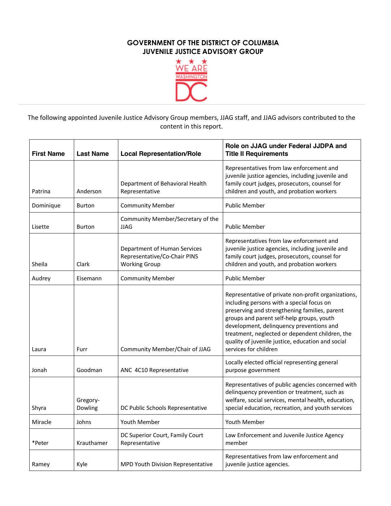

The following appointed Juvenile Justice Advisory Group members, JJAG staff, and JJAG advisors contributed to the content in this report.

| <b>First Name</b> | <b>Last Name</b>    | <b>Local Representation/Role</b>                                                     | Role on JJAG under Federal JJDPA and<br><b>Title II Requirements</b>                                                                                                                                                                                                                                                                                                        |
|-------------------|---------------------|--------------------------------------------------------------------------------------|-----------------------------------------------------------------------------------------------------------------------------------------------------------------------------------------------------------------------------------------------------------------------------------------------------------------------------------------------------------------------------|
| Patrina           | Anderson            | Department of Behavioral Health<br>Representative                                    | Representatives from law enforcement and<br>juvenile justice agencies, including juvenile and<br>family court judges, prosecutors, counsel for<br>children and youth, and probation workers                                                                                                                                                                                 |
| Dominique         | <b>Burton</b>       | <b>Community Member</b>                                                              | <b>Public Member</b>                                                                                                                                                                                                                                                                                                                                                        |
| Lisette           | <b>Burton</b>       | Community Member/Secretary of the<br><b>JJAG</b>                                     | <b>Public Member</b>                                                                                                                                                                                                                                                                                                                                                        |
| Sheila            | Clark               | Department of Human Services<br>Representative/Co-Chair PINS<br><b>Working Group</b> | Representatives from law enforcement and<br>juvenile justice agencies, including juvenile and<br>family court judges, prosecutors, counsel for<br>children and youth, and probation workers                                                                                                                                                                                 |
| Audrey            | Eisemann            | <b>Community Member</b>                                                              | <b>Public Member</b>                                                                                                                                                                                                                                                                                                                                                        |
| Laura             | Furr                | Community Member/Chair of JJAG                                                       | Representative of private non-profit organizations,<br>including persons with a special focus on<br>preserving and strengthening families, parent<br>groups and parent self-help groups, youth<br>development, delinquency preventions and<br>treatment, neglected or dependent children, the<br>quality of juvenile justice, education and social<br>services for children |
| Jonah             | Goodman             | ANC 4C10 Representative                                                              | Locally elected official representing general<br>purpose government                                                                                                                                                                                                                                                                                                         |
| Shyra             | Gregory-<br>Dowling | DC Public Schools Representative                                                     | Representatives of public agencies concerned with<br>delinquency prevention or treatment, such as<br>welfare, social services, mental health, education,<br>special education, recreation, and youth services                                                                                                                                                               |
| Miracle           | Johns               | Youth Member                                                                         | Youth Member                                                                                                                                                                                                                                                                                                                                                                |
| *Peter            | Krauthamer          | DC Superior Court, Family Court<br>Representative                                    | Law Enforcement and Juvenile Justice Agency<br>member                                                                                                                                                                                                                                                                                                                       |
| Ramey             | Kyle                | MPD Youth Division Representative                                                    | Representatives from law enforcement and<br>juvenile justice agencies.                                                                                                                                                                                                                                                                                                      |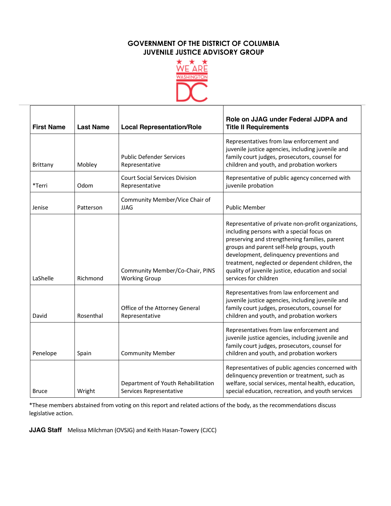

| <b>First Name</b> | <b>Last Name</b> | <b>Local Representation/Role</b>                              | Role on JJAG under Federal JJDPA and<br><b>Title II Requirements</b>                                                                                                                                                                                                                                                                                                        |
|-------------------|------------------|---------------------------------------------------------------|-----------------------------------------------------------------------------------------------------------------------------------------------------------------------------------------------------------------------------------------------------------------------------------------------------------------------------------------------------------------------------|
| <b>Brittany</b>   | Mobley           | <b>Public Defender Services</b><br>Representative             | Representatives from law enforcement and<br>juvenile justice agencies, including juvenile and<br>family court judges, prosecutors, counsel for<br>children and youth, and probation workers                                                                                                                                                                                 |
| *Terri            | Odom             | <b>Court Social Services Division</b><br>Representative       | Representative of public agency concerned with<br>juvenile probation                                                                                                                                                                                                                                                                                                        |
| Jenise            | Patterson        | Community Member/Vice Chair of<br><b>JJAG</b>                 | <b>Public Member</b>                                                                                                                                                                                                                                                                                                                                                        |
| LaShelle          | Richmond         | Community Member/Co-Chair, PINS<br><b>Working Group</b>       | Representative of private non-profit organizations,<br>including persons with a special focus on<br>preserving and strengthening families, parent<br>groups and parent self-help groups, youth<br>development, delinquency preventions and<br>treatment, neglected or dependent children, the<br>quality of juvenile justice, education and social<br>services for children |
| David             | Rosenthal        | Office of the Attorney General<br>Representative              | Representatives from law enforcement and<br>juvenile justice agencies, including juvenile and<br>family court judges, prosecutors, counsel for<br>children and youth, and probation workers                                                                                                                                                                                 |
| Penelope          | Spain            | <b>Community Member</b>                                       | Representatives from law enforcement and<br>juvenile justice agencies, including juvenile and<br>family court judges, prosecutors, counsel for<br>children and youth, and probation workers                                                                                                                                                                                 |
| <b>Bruce</b>      | Wright           | Department of Youth Rehabilitation<br>Services Representative | Representatives of public agencies concerned with<br>delinquency prevention or treatment, such as<br>welfare, social services, mental health, education,<br>special education, recreation, and youth services                                                                                                                                                               |

\*These members abstained from voting on this report and related actions of the body, as the recommendations discuss legislative action.

**JJAG Staff** Melissa Milchman (OVSJG) and Keith Hasan-Towery (CJCC)